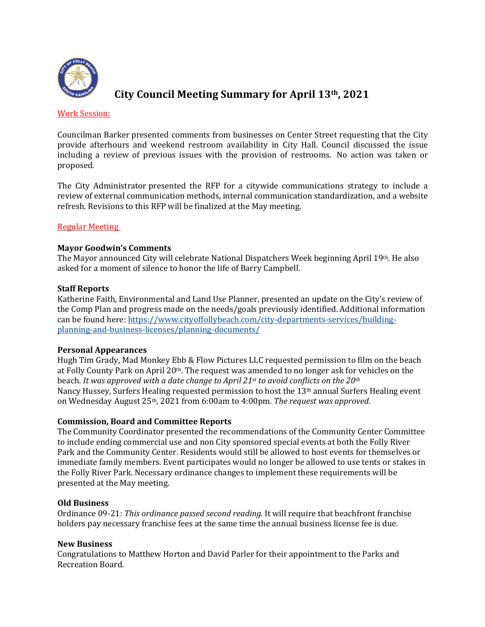

# **City Council Meeting Summary for April 13th, 2021**

#### Work Session:

Councilman Barker presented comments from businesses on Center Street requesting that the City provide afterhours and weekend restroom availability in City Hall. Council discussed the issue including a review of previous issues with the provision of restrooms. No action was taken or proposed.

The City Administrator presented the RFP for a citywide communications strategy to include a review of external communication methods, internal communication standardization, and a website refresh. Revisions to this RFP will be finalized at the May meeting.

## **Regular Meeting**

## **Mayor Goodwin's Comments**

The Mayor announced City will celebrate National Dispatchers Week beginning April 19th. He also asked for a moment of silence to honor the life of Barry Campbell.

### **Staff Reports**

Katherine Faith, Environmental and Land Use Planner, presented an update on the City's review of the Comp Plan and progress made on the needs/goals previously identified. Additional information can be found here: https://www.cityoffollybeach.com/city-departments-services/buildingplanning-and-business-licenses/planning-documents/

### **Personal Appearances**

Hugh Tim Grady, Mad Monkey Ebb & Flow Pictures LLC requested permission to film on the beach at Folly County Park on April  $20<sup>th</sup>$ . The request was amended to no longer ask for vehicles on the beach. *It was approved with a date change to April* 21<sup>st</sup> to avoid conflicts on the 20<sup>th</sup> Nancy Hussey, Surfers Healing requested permission to host the  $13<sup>th</sup>$  annual Surfers Healing event on Wednesday August 25<sup>th</sup>, 2021 from 6:00am to 4:00pm. *The request was approved.* 

### **Commission, Board and Committee Reports**

The Community Coordinator presented the recommendations of the Community Center Committee to include ending commercial use and non City sponsored special events at both the Folly River Park and the Community Center. Residents would still be allowed to host events for themselves or immediate family members. Event participates would no longer be allowed to use tents or stakes in the Folly River Park. Necessary ordinance changes to implement these requirements will be presented at the May meeting.

### **Old Business**

Ordinance 09-21: *This ordinance passed second reading.* It will require that beachfront franchise holders pay necessary franchise fees at the same time the annual business license fee is due.

### **New Business**

Congratulations to Matthew Horton and David Parler for their appointment to the Parks and Recreation Board.